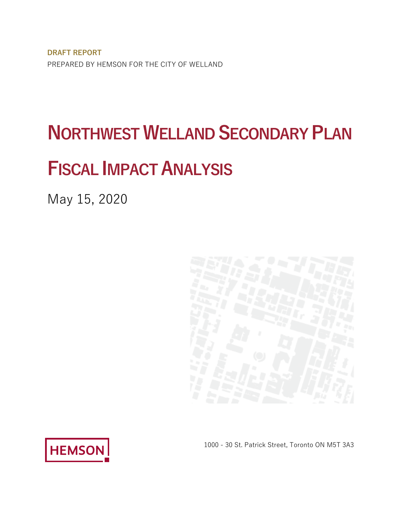**DRAFT REPORT**  PREPARED BY HEMSON FOR THE CITY OF WELLAND

# **NORTHWEST WELLAND SECONDARY PLAN**

# **FISCAL IMPACT ANALYSIS**

May 15, 2020





1000 - 30 St. Patrick Street, Toronto ON M5T 3A3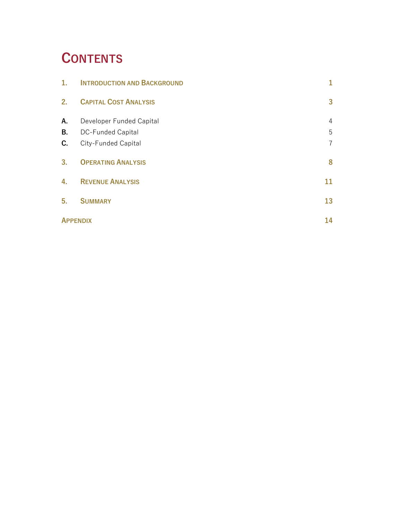### **CONTENTS**

| 1.             | <b>INTRODUCTION AND BACKGROUND</b> | 1              |
|----------------|------------------------------------|----------------|
| 2.             | <b>CAPITAL COST ANALYSIS</b>       | 3              |
| A.             | Developer Funded Capital           | 4              |
| В.             | <b>DC-Funded Capital</b>           | 5              |
| C.             | City-Funded Capital                | $\overline{7}$ |
| 3 <sub>1</sub> | <b>OPERATING ANALYSIS</b>          | 8              |
| 4.             | <b>REVENUE ANALYSIS</b>            | 11             |
| 5.             | <b>SUMMARY</b>                     | 13             |
|                | <b>APPENDIX</b>                    | 14             |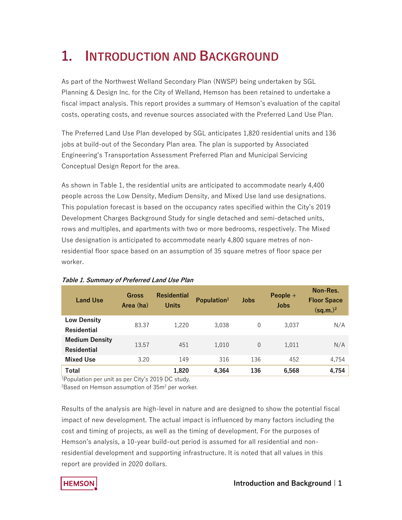## **1. INTRODUCTION AND BACKGROUND**

 Planning & Design Inc. for the City of Welland, Hemson has been retained to undertake a As part of the Northwest Welland Secondary Plan (NWSP) being undertaken by SGL fiscal impact analysis. This report provides a summary of Hemson's evaluation of the capital costs, operating costs, and revenue sources associated with the Preferred Land Use Plan.

The Preferred Land Use Plan developed by SGL anticipates 1,820 residential units and 136 jobs at build-out of the Secondary Plan area. The plan is supported by Associated Engineering's Transportation Assessment Preferred Plan and Municipal Servicing Conceptual Design Report for the area.

 people across the Low Density, Medium Density, and Mixed Use land use designations. Development Charges Background Study for single detached and semi-detached units, As shown in Table 1, the residential units are anticipated to accommodate nearly 4,400 This population forecast is based on the occupancy rates specified within the City's 2019 rows and multiples, and apartments with two or more bedrooms, respectively. The Mixed Use designation is anticipated to accommodate nearly 4,800 square metres of nonresidential floor space based on an assumption of 35 square metres of floor space per worker.

| <b>Land Use</b>                      | <b>Gross</b><br>Area (ha) | <b>Residential</b><br><b>Units</b> | Population $1$ | <b>Jobs</b> | People $+$<br>Jobs | Non-Res.<br><b>Floor Space</b><br>$(sq.m.)^2$ |
|--------------------------------------|---------------------------|------------------------------------|----------------|-------------|--------------------|-----------------------------------------------|
| <b>Low Density</b><br>Residential    | 83.37                     | 1.220                              | 3,038          | 0           | 3.037              | N/A                                           |
| <b>Medium Density</b><br>Residential | 13.57                     | 451                                | 1.010          | $\Omega$    | 1.011              | N/A                                           |
| <b>Mixed Use</b>                     | 3.20                      | 149                                | 316            | 136         | 452                | 4.754                                         |
| Total                                |                           | 1,820                              | 4,364          | 136         | 6,568              | 4,754                                         |

### **Table 1. Summary of Preferred Land Use Plan**

1 Population per unit as per City's 2019 DC study.

 $^{2}$ Based on Hemson assumption of 35m $^{2}$  per worker.

 cost and timing of projects, as well as the timing of development. For the purposes of residential development and supporting infrastructure. It is noted that all values in this Results of the analysis are high-level in nature and are designed to show the potential fiscal impact of new development. The actual impact is influenced by many factors including the Hemson's analysis, a 10-year build-out period is assumed for all residential and nonreport are provided in 2020 dollars.

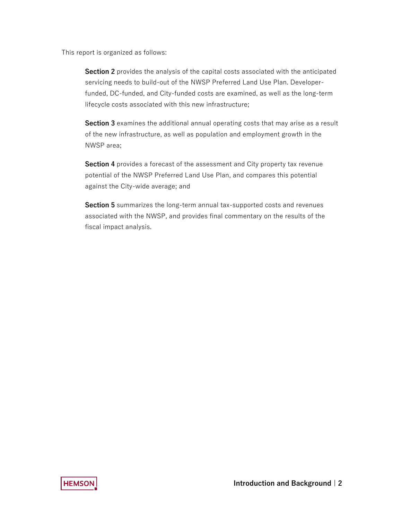This report is organized as follows:

 **Section 2** provides the analysis of the capital costs associated with the anticipated lifecycle costs associated with this new infrastructure; servicing needs to build-out of the NWSP Preferred Land Use Plan. Developerfunded, DC-funded, and City-funded costs are examined, as well as the long-term

 **Section 3** examines the additional annual operating costs that may arise as a result of the new infrastructure, as well as population and employment growth in the NWSP area;

 potential of the NWSP Preferred Land Use Plan, and compares this potential **Section 4** provides a forecast of the assessment and City property tax revenue against the City-wide average; and

**Section 5** summarizes the long-term annual tax-supported costs and revenues associated with the NWSP, and provides final commentary on the results of the fiscal impact analysis.

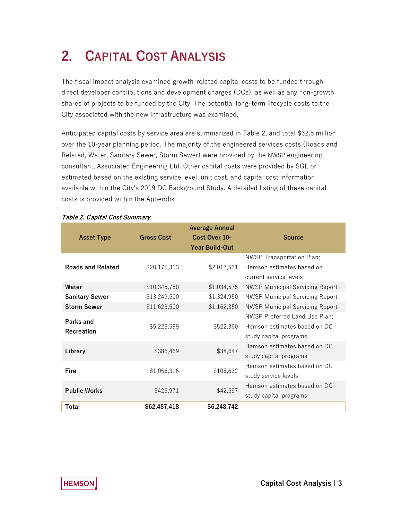## **2. CAPITAL COST ANALYSIS**

The fiscal impact analysis examined growth-related capital costs to be funded through direct developer contributions and development charges (DCs), as well as any non-growth shares of projects to be funded by the City. The potential long-term lifecycle costs to the City associated with the new infrastructure was examined.

 estimated based on the existing service level, unit cost, and capital cost information Anticipated capital costs by service area are summarized in Table 2, and total \$62.5 million over the 10-year planning period. The majority of the engineered services costs (Roads and Related, Water, Sanitary Sewer, Storm Sewer) were provided by the NWSP engineering consultant, Associated Engineering Ltd. Other capital costs were provided by SGL or available within the City's 2019 DC Background Study. A detailed listing of these capital costs is provided within the Appendix.

|                          |                   | <b>Average Annual</b> |                                        |
|--------------------------|-------------------|-----------------------|----------------------------------------|
| <b>Asset Type</b>        | <b>Gross Cost</b> | Cost Over 10-         | <b>Source</b>                          |
|                          |                   | <b>Year Build-Out</b> |                                        |
|                          |                   |                       | <b>NWSP Transportation Plan;</b>       |
| <b>Roads and Related</b> | \$20,175,313      | \$2,017,531           | Hemson estimates based on              |
|                          |                   |                       | current service levels                 |
| Water                    | \$10,345,750      | \$1,034,575           | <b>NWSP Municipal Servicing Report</b> |
| <b>Sanitary Sewer</b>    | \$13,249,500      | \$1,324,950           | <b>NWSP Municipal Servicing Report</b> |
| <b>Storm Sewer</b>       | \$11,623,500      | \$1,162,350           | <b>NWSP Municipal Servicing Report</b> |
| Parks and                |                   |                       | <b>NWSP Preferred Land Use Plan;</b>   |
| Recreation               | \$5,223,599       | \$522,360             | Hemson estimates based on DC           |
|                          |                   |                       | study capital programs                 |
| Library                  |                   | \$38,647              | Hemson estimates based on DC           |
|                          | \$386,469         |                       | study capital programs                 |
| Fire                     | \$1,056,316       | \$105,632             | Hemson estimates based on DC           |
|                          |                   |                       | study service levels                   |
| <b>Public Works</b>      | \$426,971         | \$42,697              | Hemson estimates based on DC           |
|                          |                   |                       | study capital programs                 |
| Total                    | \$62,487,418      | \$6,248,742           |                                        |

#### **Table 2. Capital Cost Summary**

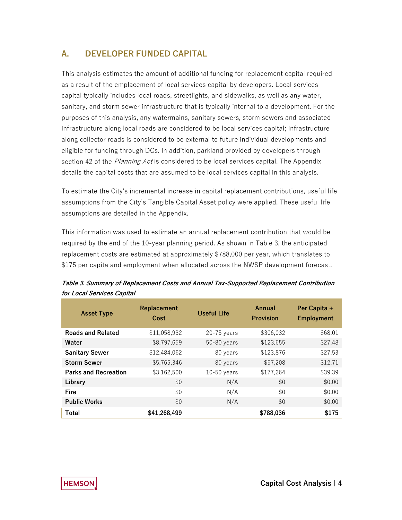### **A. DEVELOPER FUNDED CAPITAL**

 sanitary, and storm sewer infrastructure that is typically internal to a development. For the infrastructure along local roads are considered to be local services capital; infrastructure along collector roads is considered to be external to future individual developments and section 42 of the *Planning Act* is considered to be local services capital. The Appendix This analysis estimates the amount of additional funding for replacement capital required as a result of the emplacement of local services capital by developers. Local services capital typically includes local roads, streetlights, and sidewalks, as well as any water, purposes of this analysis, any watermains, sanitary sewers, storm sewers and associated eligible for funding through DCs. In addition, parkland provided by developers through details the capital costs that are assumed to be local services capital in this analysis.

To estimate the City's incremental increase in capital replacement contributions, useful life assumptions from the City's Tangible Capital Asset policy were applied. These useful life assumptions are detailed in the Appendix.

This information was used to estimate an annual replacement contribution that would be required by the end of the 10-year planning period. As shown in Table 3, the anticipated replacement costs are estimated at approximately \$788,000 per year, which translates to \$175 per capita and employment when allocated across the NWSP development forecast.

| <b>Asset Type</b>           | <b>Replacement</b><br><b>Cost</b> | <b>Useful Life</b> | Annual<br><b>Provision</b> | Per Capita +<br><b>Employment</b> |
|-----------------------------|-----------------------------------|--------------------|----------------------------|-----------------------------------|
| <b>Roads and Related</b>    | \$11,058,932                      | $20-75$ years      | \$306,032                  | \$68.01                           |
| Water                       | \$8,797,659                       | $50-80$ years      | \$123,655                  | \$27.48                           |
| <b>Sanitary Sewer</b>       | \$12,484,062                      | 80 years           | \$123,876                  | \$27.53                           |
| <b>Storm Sewer</b>          | \$5,765,346                       | 80 years           | \$57,208                   | \$12.71                           |
| <b>Parks and Recreation</b> | \$3,162,500                       | $10-50$ years      | \$177,264                  | \$39.39                           |
| Library                     | \$0                               | N/A                | \$0                        | \$0.00                            |
| Fire                        | \$0                               | N/A                | \$0                        | \$0.00                            |
| <b>Public Works</b>         | \$0                               | N/A                | \$0                        | \$0.00                            |
| Total                       | \$41,268,499                      |                    | \$788,036                  | \$175                             |

**Table 3. Summary of Replacement Costs and Annual Tax-Supported Replacement Contribution for Local Services Capital** 

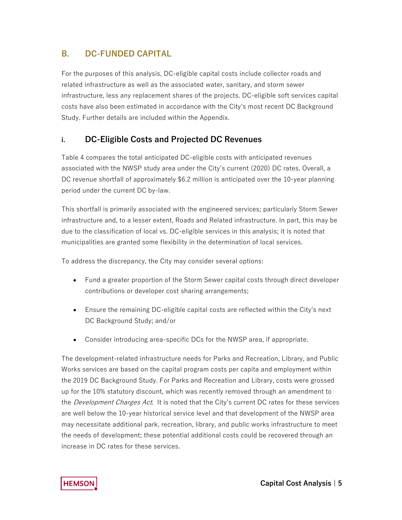### **B. DC-FUNDED CAPITAL**

For the purposes of this analysis, DC-eligible capital costs include collector roads and related infrastructure as well as the associated water, sanitary, and storm sewer infrastructure, less any replacement shares of the projects. DC-eligible soft services capital costs have also been estimated in accordance with the City's most recent DC Background Study. Further details are included within the Appendix.

### **i. DC-Eligible Costs and Projected DC Revenues**

 associated with the NWSP study area under the City's current (2020) DC rates. Overall, a Table 4 compares the total anticipated DC-eligible costs with anticipated revenues DC revenue shortfall of approximately \$6.2 million is anticipated over the 10-year planning period under the current DC by-law.

 infrastructure and, to a lesser extent, Roads and Related infrastructure. In part, this may be municipalities are granted some flexibility in the determination of local services. This shortfall is primarily associated with the engineered services; particularly Storm Sewer due to the classification of local vs. DC-eligible services in this analysis; it is noted that

To address the discrepancy, the City may consider several options:

- Fund a greater proportion of the Storm Sewer capital costs through direct developer contributions or developer cost sharing arrangements;
- Ensure the remaining DC-eligible capital costs are reflected within the City's next DC Background Study; and/or
- Consider introducing area-specific DCs for the NWSP area, if appropriate.

 The development-related infrastructure needs for Parks and Recreation, Library, and Public Works services are based on the capital program costs per capita and employment within the 2019 DC Background Study. For Parks and Recreation and Library, costs were grossed up for the 10% statutory discount, which was recently removed through an amendment to the *Development Charges Act*. It is noted that the City's current DC rates for these services are well below the 10-year historical service level and that development of the NWSP area may necessitate additional park, recreation, library, and public works infrastructure to meet the needs of development; these potential additional costs could be recovered through an increase in DC rates for these services.

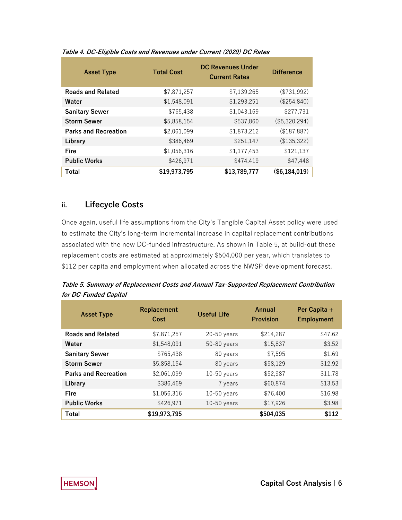| <b>Asset Type</b>           | <b>Total Cost</b> | <b>DC Revenues Under</b><br><b>Current Rates</b> | <b>Difference</b> |  |
|-----------------------------|-------------------|--------------------------------------------------|-------------------|--|
| <b>Roads and Related</b>    | \$7,871,257       | \$7,139,265                                      | (\$731,992)       |  |
| Water                       | \$1,548,091       | \$1,293,251                                      | (\$254,840)       |  |
| <b>Sanitary Sewer</b>       | \$765,438         | \$1,043,169                                      | \$277,731         |  |
| <b>Storm Sewer</b>          | \$5,858,154       | \$537,860                                        | (\$5,320,294)     |  |
| <b>Parks and Recreation</b> | \$2,061,099       | \$1,873,212                                      | (\$187,887)       |  |
| Library                     | \$386,469         | \$251,147                                        | (\$135,322)       |  |
| Fire                        | \$1,056,316       | \$1,177,453                                      | \$121,137         |  |
| <b>Public Works</b>         | \$426,971         | \$474,419                                        | \$47,448          |  |
| Total                       | \$19,973,795      | \$13,789,777                                     | $(\$6,184,019)$   |  |

#### **Table 4. DC-Eligible Costs and Revenues under Current (2020) DC Rates**

### **ii. Lifecycle Costs**

 Once again, useful life assumptions from the City's Tangible Capital Asset policy were used to estimate the City's long-term incremental increase in capital replacement contributions associated with the new DC-funded infrastructure. As shown in Table 5, at build-out these replacement costs are estimated at approximately \$504,000 per year, which translates to \$112 per capita and employment when allocated across the NWSP development forecast.

**Table 5. Summary of Replacement Costs and Annual Tax-Supported Replacement Contribution for DC-Funded Capital** 

| <b>Asset Type</b>           | Replacement<br>Cost | <b>Useful Life</b> | Annual<br><b>Provision</b> | Per Capita +<br><b>Employment</b> |
|-----------------------------|---------------------|--------------------|----------------------------|-----------------------------------|
| <b>Roads and Related</b>    | \$7,871,257         | $20-50$ years      | \$214,287                  | \$47.62                           |
| Water                       | \$1,548,091         | $50-80$ years      | \$15,837                   | \$3.52                            |
| <b>Sanitary Sewer</b>       | \$765,438           | 80 years           | \$7,595                    | \$1.69                            |
| <b>Storm Sewer</b>          | \$5,858,154         | 80 years           | \$58,129                   | \$12.92                           |
| <b>Parks and Recreation</b> | \$2,061,099         | $10-50$ years      | \$52,987                   | \$11.78                           |
| Library                     | \$386.469           | 7 years            | \$60,874                   | \$13.53                           |
| Fire                        | \$1,056,316         | $10-50$ years      | \$76,400                   | \$16.98                           |
| <b>Public Works</b>         | \$426,971           | $10-50$ years      | \$17,926                   | \$3.98                            |
| Total                       | \$19,973,795        |                    | \$504,035                  | \$112                             |

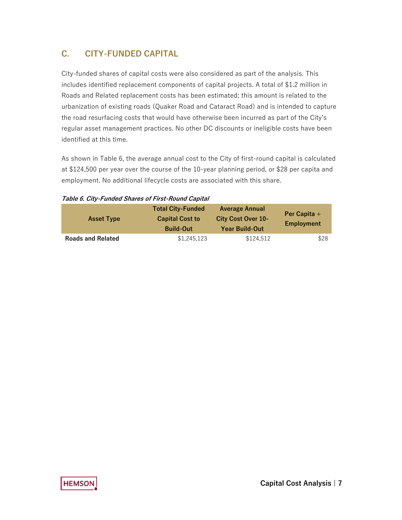### **C. CITY-FUNDED CAPITAL**

 includes identified replacement components of capital projects. A total of \$1.2 million in the road resurfacing costs that would have otherwise been incurred as part of the City's City-funded shares of capital costs were also considered as part of the analysis. This Roads and Related replacement costs has been estimated; this amount is related to the urbanization of existing roads (Quaker Road and Cataract Road) and is intended to capture regular asset management practices. No other DC discounts or ineligible costs have been identified at this time.

 As shown in Table 6, the average annual cost to the City of first-round capital is calculated employment. No additional lifecycle costs are associated with this share. at \$124,500 per year over the course of the 10-year planning period, or \$28 per capita and

| <b>Asset Type</b>        | <b>Total City-Funded</b><br><b>Capital Cost to</b><br><b>Build-Out</b> | <b>Average Annual</b><br><b>City Cost Over 10-</b><br><b>Year Build-Out</b> | Per Capita $+$<br>Employment |
|--------------------------|------------------------------------------------------------------------|-----------------------------------------------------------------------------|------------------------------|
| <b>Roads and Related</b> | \$1,245,123                                                            | \$124,512                                                                   | \$28                         |

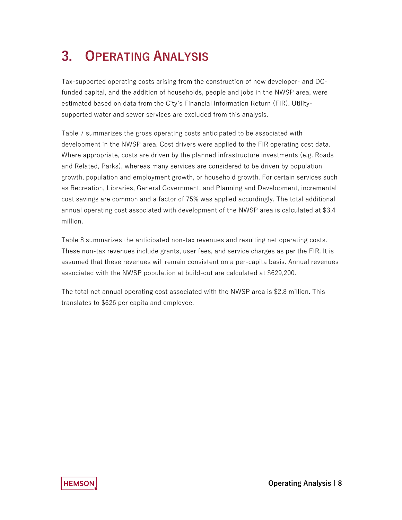## **3. OPERATING ANALYSIS**

 supported water and sewer services are excluded from this analysis. Tax-supported operating costs arising from the construction of new developer- and DCfunded capital, and the addition of households, people and jobs in the NWSP area, were estimated based on data from the City's Financial Information Return (FIR). Utility-

 development in the NWSP area. Cost drivers were applied to the FIR operating cost data. Table 7 summarizes the gross operating costs anticipated to be associated with Where appropriate, costs are driven by the planned infrastructure investments (e.g. Roads and Related, Parks), whereas many services are considered to be driven by population growth, population and employment growth, or household growth. For certain services such as Recreation, Libraries, General Government, and Planning and Development, incremental cost savings are common and a factor of 75% was applied accordingly. The total additional annual operating cost associated with development of the NWSP area is calculated at \$3.4 million.

 assumed that these revenues will remain consistent on a per-capita basis. Annual revenues Table 8 summarizes the anticipated non-tax revenues and resulting net operating costs. These non-tax revenues include grants, user fees, and service charges as per the FIR. It is associated with the NWSP population at build-out are calculated at \$629,200.

 The total net annual operating cost associated with the NWSP area is \$2.8 million. This translates to \$626 per capita and employee.

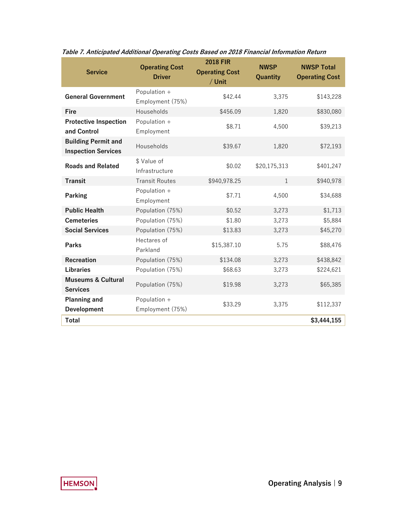| <b>Service</b>                                           | <b>Operating Cost</b><br><b>Driver</b> | <b>2018 FIR</b><br><b>Operating Cost</b><br>/ Unit | <b>NWSP</b><br>Quantity | <b>NWSP Total</b><br><b>Operating Cost</b> |  |
|----------------------------------------------------------|----------------------------------------|----------------------------------------------------|-------------------------|--------------------------------------------|--|
| <b>General Government</b>                                | Population +<br>Employment (75%)       | \$42.44                                            | 3,375                   | \$143,228                                  |  |
| <b>Fire</b>                                              | Households                             | \$456.09                                           | 1,820                   | \$830,080                                  |  |
| <b>Protective Inspection</b><br>and Control              | Population +<br>Employment             | \$8.71                                             | 4,500                   | \$39,213                                   |  |
| <b>Building Permit and</b><br><b>Inspection Services</b> | Households                             | \$39.67                                            | 1,820                   | \$72,193                                   |  |
| <b>Roads and Related</b>                                 | \$ Value of<br>Infrastructure          | \$0.02                                             | \$20,175,313            | \$401,247                                  |  |
| <b>Transit</b>                                           | <b>Transit Routes</b>                  | \$940,978.25                                       | $\mathbf{1}$            | \$940,978                                  |  |
| <b>Parking</b>                                           | Population +<br>Employment             | \$7.71                                             | 4,500                   | \$34,688                                   |  |
| <b>Public Health</b>                                     | Population (75%)                       | \$0.52                                             | 3,273                   | \$1,713                                    |  |
| <b>Cemeteries</b>                                        | Population (75%)                       | \$1.80                                             | 3,273                   | \$5,884                                    |  |
| <b>Social Services</b>                                   | Population (75%)                       | \$13.83                                            | 3,273                   | \$45,270                                   |  |
| <b>Parks</b>                                             | Hectares of<br>Parkland                | \$15,387.10                                        | 5.75                    | \$88,476                                   |  |
| Recreation                                               | Population (75%)                       | \$134.08                                           | 3,273                   | \$438,842                                  |  |
| <b>Libraries</b>                                         | Population (75%)                       | \$68.63                                            | 3,273                   | \$224,621                                  |  |
| <b>Museums &amp; Cultural</b><br><b>Services</b>         | Population (75%)                       | \$19.98                                            | 3,273                   | \$65,385                                   |  |
| <b>Planning and</b>                                      | Population +                           | \$33.29                                            | 3,375                   | \$112,337                                  |  |
| Development                                              | Employment (75%)                       |                                                    |                         |                                            |  |
| Total                                                    |                                        |                                                    |                         | \$3,444,155                                |  |

**Table 7. Anticipated Additional Operating Costs Based on 2018 Financial Information Return** 

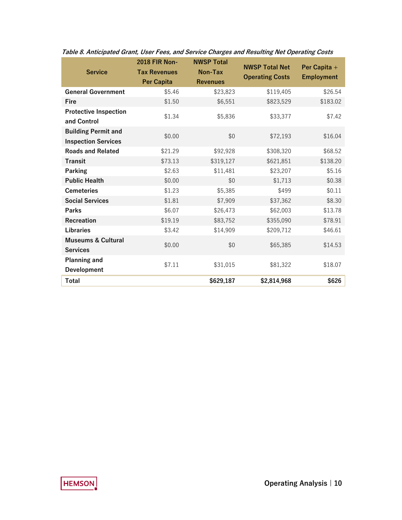|                                                          | <b>2018 FIR Non-</b> | <b>NWSP Total</b> | <b>NWSP Total Net</b>  | Per Capita +      |
|----------------------------------------------------------|----------------------|-------------------|------------------------|-------------------|
| <b>Service</b>                                           | <b>Tax Revenues</b>  | Non-Tax           | <b>Operating Costs</b> | <b>Employment</b> |
|                                                          | <b>Per Capita</b>    | <b>Revenues</b>   |                        |                   |
| <b>General Government</b>                                | \$5.46               | \$23,823          | \$119,405              | \$26.54           |
| Fire                                                     | \$1.50               | \$6,551           | \$823,529              | \$183.02          |
| <b>Protective Inspection</b>                             | \$1.34               | \$5,836           | \$33,377               | \$7.42            |
| and Control                                              |                      |                   |                        |                   |
| <b>Building Permit and</b><br><b>Inspection Services</b> | \$0.00               | \$0               | \$72,193               | \$16.04           |
| <b>Roads and Related</b>                                 | \$21.29              | \$92,928          | \$308,320              | \$68.52           |
| <b>Transit</b>                                           | \$73.13              | \$319,127         | \$621,851              | \$138.20          |
| Parking                                                  | \$2.63               | \$11,481          | \$23,207               | \$5.16            |
| <b>Public Health</b>                                     | \$0.00               | \$0               | \$1,713                | \$0.38            |
| <b>Cemeteries</b>                                        | \$1.23               | \$5,385           | \$499                  | \$0.11            |
| <b>Social Services</b>                                   | \$1.81               | \$7,909           | \$37,362               | \$8.30            |
| Parks                                                    | \$6.07               | \$26,473          | \$62,003               | \$13.78           |
| Recreation                                               | \$19.19              | \$83,752          | \$355,090              | \$78.91           |
| <b>Libraries</b>                                         | \$3.42               | \$14,909          | \$209,712              | \$46.61           |
| <b>Museums &amp; Cultural</b>                            | \$0.00               | \$0               | \$65,385               | \$14.53           |
| <b>Services</b>                                          |                      |                   |                        |                   |
| <b>Planning and</b>                                      | \$7.11               | \$31,015          | \$81,322               | \$18.07           |
| Development                                              |                      |                   |                        |                   |
| Total                                                    |                      | \$629,187         | \$2,814,968            | \$626             |

**Table 8. Anticipated Grant, User Fees, and Service Charges and Resulting Net Operating Costs**

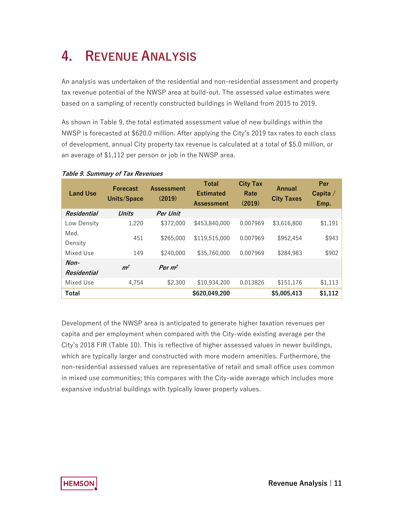## **4. REVENUE ANALYSIS**

An analysis was undertaken of the residential and non-residential assessment and property tax revenue potential of the NWSP area at build-out. The assessed value estimates were based on a sampling of recently constructed buildings in Welland from 2015 to 2019.

 NWSP is forecasted at \$620.0 million. After applying the City's 2019 tax rates to each class an average of \$1,112 per person or job in the NWSP area. As shown in Table 9, the total estimated assessment value of new buildings within the of development, annual City property tax revenue is calculated at a total of \$5.0 million, or

| <b>Land Use</b>              | <b>Forecast</b><br>Units/Space | <b>Assessment</b><br>(2019) | <b>Total</b><br><b>Estimated</b><br><b>Assessment</b> | <b>City Tax</b><br>Rate<br>(2019) | Annual<br><b>City Taxes</b> | Per<br>Capita $/$<br>Emp. |
|------------------------------|--------------------------------|-----------------------------|-------------------------------------------------------|-----------------------------------|-----------------------------|---------------------------|
| Residential                  | <b>Units</b>                   | <b>Per Unit</b>             |                                                       |                                   |                             |                           |
| Low Density                  | 1,220                          | \$372,000                   | \$453,840,000                                         | 0.007969                          | \$3,616,800                 | \$1,191                   |
| Med.<br>Density              | 451                            | \$265,000                   | \$119,515,000                                         | 0.007969                          | \$952,454                   | \$943                     |
| Mixed Use                    | 149                            | \$240,000                   | \$35,760,000                                          | 0.007969                          | \$284,983                   | \$902                     |
| $Non-$<br><b>Residential</b> | m <sup>2</sup>                 | Per $m^2$                   |                                                       |                                   |                             |                           |
| Mixed Use                    | 4.754                          | \$2,300                     | \$10,934,200                                          | 0.013826                          | \$151,176                   | \$1,113                   |
| <b>Total</b>                 |                                |                             | \$620,049,200                                         |                                   | \$5,005,413                 | \$1,112                   |

#### **Table 9. Summary of Tax Revenues**

Development of the NWSP area is anticipated to generate higher taxation revenues per capita and per employment when compared with the City-wide existing average per the City's 2018 FIR (Table 10). This is reflective of higher assessed values in newer buildings, which are typically larger and constructed with more modern amenities. Furthermore, the non-residential assessed values are representative of retail and small office uses common in mixed use communities; this compares with the City-wide average which includes more expansive industrial buildings with typically lower property values.

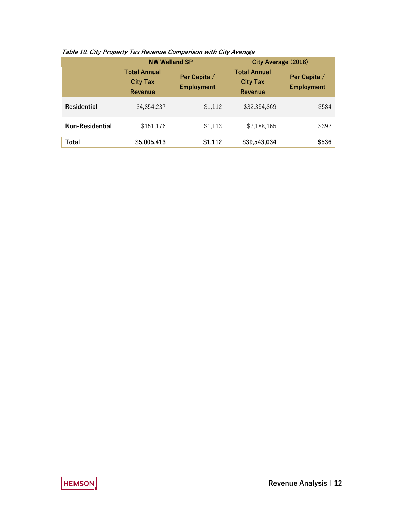|                        | <b>NW Welland SP</b>                              |                                                                                        | City Average (2018) |                                   |
|------------------------|---------------------------------------------------|----------------------------------------------------------------------------------------|---------------------|-----------------------------------|
|                        | <b>Total Annual</b><br><b>City Tax</b><br>Revenue | <b>Total Annual</b><br>Per Capita /<br><b>City Tax</b><br><b>Employment</b><br>Revenue |                     | Per Capita /<br><b>Employment</b> |
| <b>Residential</b>     | \$4,854,237                                       | \$1,112                                                                                | \$32,354,869        | \$584                             |
| <b>Non-Residential</b> | \$151,176                                         | \$1,113                                                                                | \$7,188,165         | \$392                             |
| Total                  | \$5,005,413                                       | \$1,112                                                                                | \$39,543,034        | \$536                             |

#### **Table 10. City Property Tax Revenue Comparison with City Average**

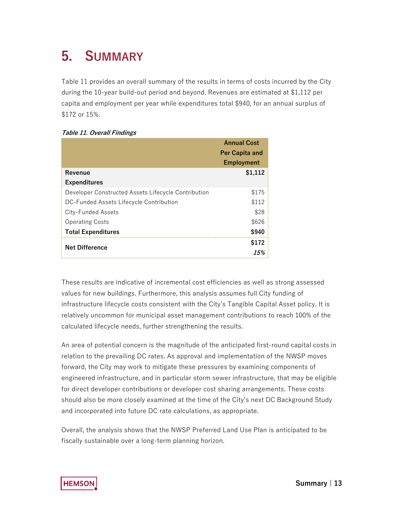### **5. SUMMARY**

 Table 11 provides an overall summary of the results in terms of costs incurred by the City \$172 or 15%. during the 10-year build-out period and beyond. Revenues are estimated at \$1,112 per capita and employment per year while expenditures total \$940, for an annual surplus of

|                                                     | <b>Annual Cost</b>    |
|-----------------------------------------------------|-----------------------|
|                                                     | <b>Per Capita and</b> |
|                                                     | <b>Employment</b>     |
| Revenue                                             | \$1,112               |
| <b>Expenditures</b>                                 |                       |
| Developer Constructed Assets Lifecycle Contribution | \$175                 |
| DC-Funded Assets Lifecycle Contribution             | \$112                 |
| City-Funded Assets                                  | \$28                  |
| <b>Operating Costs</b>                              | \$626                 |
| <b>Total Expenditures</b>                           | \$940                 |
| <b>Net Difference</b>                               | \$172                 |
|                                                     | 15%                   |

 infrastructure lifecycle costs consistent with the City's Tangible Capital Asset policy. It is relatively uncommon for municipal asset management contributions to reach 100% of the These results are indicative of incremental cost efficiencies as well as strong assessed values for new buildings. Furthermore, this analysis assumes full City funding of calculated lifecycle needs, further strengthening the results.

 relation to the prevailing DC rates. As approval and implementation of the NWSP moves An area of potential concern is the magnitude of the anticipated first-round capital costs in forward, the City may work to mitigate these pressures by examining components of engineered infrastructure, and in particular storm sewer infrastructure, that may be eligible for direct developer contributions or developer cost sharing arrangements. These costs should also be more closely examined at the time of the City's next DC Background Study and incorporated into future DC rate calculations, as appropriate.

 fiscally sustainable over a long-term planning horizon. Overall, the analysis shows that the NWSP Preferred Land Use Plan is anticipated to be

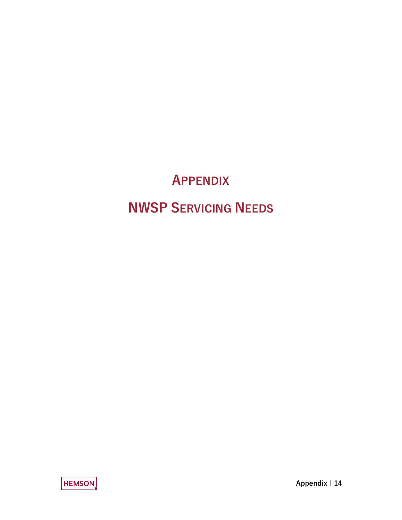## **APPENDIX**

## **NWSP SERVICING NEEDS**

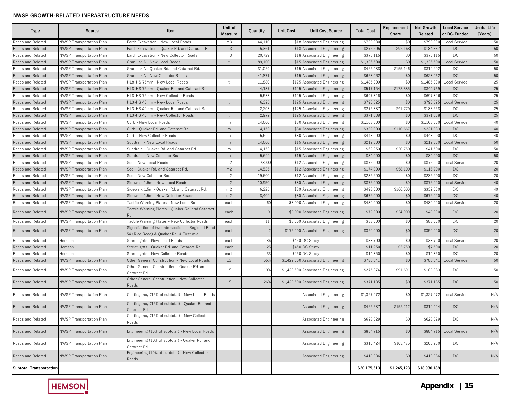| Type                           | <b>Source</b>                   | Item                                                                                           | Unit of<br>Measure | Quantity       | <b>Unit Cost</b> | <b>Unit Cost Source</b>            | <b>Total Cost</b> | Replacement<br>Share | <b>Net Growth</b><br>Related | <b>Local Service</b><br>or DC-Funded | Useful Life<br>(Years) |
|--------------------------------|---------------------------------|------------------------------------------------------------------------------------------------|--------------------|----------------|------------------|------------------------------------|-------------------|----------------------|------------------------------|--------------------------------------|------------------------|
| Roads and Related              | <b>NWSP Transportation Plan</b> | Earth Excavation - New Local Roads                                                             | m3                 | 44,110         |                  | \$18 Associated Engineering        | \$793,980         | \$0                  | \$793,980                    | Local Service                        | 50                     |
| Roads and Related              | NWSP Transportation Plan        | Earth Excavation - Quaker Rd. and Cataract Rd.                                                 | m <sub>3</sub>     | 15,361         |                  | \$18 Associated Engineering        | \$276,509         | \$92,168             | \$184,33                     | <b>DC</b>                            | 50                     |
| Roads and Related              | <b>NWSP Transportation Plan</b> | Earth Excavation - New Collector Roads                                                         | m <sub>3</sub>     | 20,729         |                  | \$18 Associated Engineering        | \$373,115         | \$0                  | \$373,115                    | DC                                   | 50                     |
| Roads and Related              | NWSP Transportation Plan        | Granular A - New Local Roads                                                                   | ŧ                  | 89,100         |                  | \$15 Associated Engineering        | \$1.336,500       | \$0                  | \$1,336,500                  | <b>Local Service</b>                 | 50                     |
| Roads and Related              | <b>NWSP Transportation Plan</b> | Granular A - Quaker Rd. and Cataract Rd.                                                       | $+$                | 31,029         |                  | \$15 Associated Engineering        | \$465,438         | \$155,146            | \$310,292                    | DC                                   | 50                     |
| Roads and Related              | <b>NWSP Transportation Plan</b> | Granular A - New Collector Roads                                                               | $\ddagger$         | 41,871         |                  | \$15 Associated Engineering        | \$628,062         | \$0                  | \$628,062                    | <b>DC</b>                            | 50                     |
| Roads and Related              | NWSP Transportation Plan        | HL8-HS 75mm - New Local Roads                                                                  | $+$                | 11,880         |                  | \$125 Associated Engineering       | \$1,485,000       | \$0                  | \$1,485,000                  | Local Service                        | 25                     |
| Roads and Related              | NWSP Transportation Plan        | HL8-HS 75mm - Quaker Rd. and Cataract Rd.                                                      | $\ddagger$         | 4,137          |                  | \$125 Associated Engineering       | \$517,154         | \$172,385            | \$344,769                    | <b>DC</b>                            | 25                     |
| Roads and Related              | <b>NWSP Transportation Plan</b> | HL8-HS 75mm - New Collector Roads                                                              | $\mathsf{t}$       | 5,583          |                  | \$125 Associated Engineering       | \$697,846         | \$0                  | \$697,846                    | DC                                   | 25                     |
| Roads and Related              | <b>NWSP Transportation Plan</b> | HL3-HS 40mm - New Local Roads                                                                  | $\ddagger$         | 6,325          |                  | \$125 Associated Engineering       | \$790,625         | \$0                  | \$790,625                    | Local Service                        | 25                     |
| Roads and Related              | NWSP Transportation Plan        | HL3-HS 40mm - Quaker Rd. and Cataract Rd.                                                      | $^{+}$             | 2,203          |                  | \$125 Associated Engineering       | \$275,337         | \$91,779             | \$183,558                    | DC                                   | 25                     |
| Roads and Related              | <b>NWSP Transportation Plan</b> | HL3-HS 40mm - New Collector Roads                                                              | $+$                | 2,972          |                  | \$125 Associated Engineering       | \$371,538         | \$0                  | \$371,538                    | <b>DC</b>                            | 25                     |
| Roads and Related              | <b>NWSP Transportation Plan</b> | Curb - New Local Roads                                                                         | m                  | 14,600         |                  | \$80 Associated Engineering        | \$1,168,000       | \$0                  | \$1,168,000                  | Local Service                        | 40                     |
| Roads and Related              | <b>NWSP Transportation Plan</b> | Curb - Quaker Rd. and Cataract Rd.                                                             | m                  | 4,150          |                  | \$80 Associated Engineering        | \$332,000         | \$110,667            | \$221,333                    | DC                                   | 40                     |
| Roads and Related              | <b>NWSP Transportation Plan</b> | Curb - New Collector Roads                                                                     | m                  | 5,600          |                  | \$80 Associated Engineering        | \$448,000         | \$0                  | \$448,000                    | DC                                   | 40                     |
| Roads and Related              | <b>NWSP Transportation Plan</b> | Subdrain - New Local Roads                                                                     | m                  | 14,600         |                  | \$15 Associated Engineering        | \$219,000         | \$0                  | \$219,000                    | <b>Local Service</b>                 | 50                     |
| Roads and Related              | <b>NWSP Transportation Plan</b> | Subdrain - Quaker Rd. and Cataract Rd.                                                         | m                  | 4,150          |                  | \$15 Associated Engineering        | \$62,250          | \$20,750             | \$41,500                     | DC                                   | 50                     |
| Roads and Related              | NWSP Transportation Plan        | Subdrain - New Collector Roads                                                                 | m                  | 5,600          |                  | \$15 Associated Engineering        | \$84,000          | \$0                  | \$84,000                     | DC                                   | 50                     |
| Roads and Related              | <b>NWSP Transportation Plan</b> | Sod - New Local Roads                                                                          | m <sub>2</sub>     | 73000          |                  | \$12 Associated Engineering        | \$876,000         | \$0                  | \$876,000                    | Local Service                        | 20                     |
| Roads and Related              | <b>NWSP Transportation Plan</b> | Sod - Quaker Rd. and Cataract Rd.                                                              | m <sub>2</sub>     | 14,525         |                  | \$12 Associated Engineering        | \$174,300         | \$58,100             | \$116,200                    | <b>DC</b>                            | 20                     |
| Roads and Related              | NWSP Transportation Plan        | Sod - New Collector Roads                                                                      | m <sub>2</sub>     | 19,600         |                  | \$12 Associated Engineering        | \$235,200         | \$0                  | \$235,200                    | DC                                   | 20                     |
| Roads and Related              | <b>NWSP Transportation Plan</b> | Sidewalk 1.5m - New Local Roads                                                                | m <sub>2</sub>     | 10,950         |                  | \$80 Associated Engineering        | \$876,000         | \$0                  | \$876,000                    | Local Service                        | 40                     |
| Roads and Related              | <b>NWSP Transportation Plan</b> | Sidewalk 1.5m - Quaker Rd. and Cataract Rd.                                                    | m <sub>2</sub>     | 6,225          |                  | \$80 Associated Engineering        | \$498,000         | \$166,000            | \$332,000                    | DC                                   | 40                     |
| Roads and Related              | <b>NWSP Transportation Plan</b> | Sidewalk 1.5m - New Collector Roads                                                            | m <sub>2</sub>     | 8,400          |                  | \$80 Associated Engineering        | \$672,000         | \$0                  | \$672,000                    | DC                                   | 40                     |
| Roads and Related              | <b>NWSP Transportation Plan</b> | Tactile Warning Plates - New Local Roads                                                       | each               | 60             |                  | \$8,000 Associated Engineering     | \$480,000         | \$0                  | \$480,000                    | Local Service                        | 20                     |
| Roads and Related              | NWSP Transportation Plan        | Tactile Warning Plates - Quaker Rd. and Cataract<br>Rd.                                        | each               | 9              |                  | \$8,000 Associated Engineering     | \$72,000          | \$24,000             | \$48,000                     | DC                                   | 20                     |
| Roads and Related              | <b>NWSP Transportation Plan</b> | Tactile Warning Plates - New Collector Roads                                                   | each               | 11             | \$8,000          | <b>Associated Engineering</b>      | \$88,000          | \$0                  | \$88,000                     | DC                                   | 20                     |
| Roads and Related              | NWSP Transportation Plan        | Signalization of two intersections - Regional Road<br>54 (Rice Road) & Quaker Rd. & First Ave. | each               | $\overline{c}$ |                  | \$175,000 Associated Engineering   | \$350,000         | \$0                  | \$350,000                    | <b>DC</b>                            | 20                     |
| Roads and Related              | Hemson                          | Streetlights - New Local Roads                                                                 | each               | 86             |                  | \$450 DC Study                     | \$38,700          | \$0                  | \$38,700                     | Local Service                        | 20                     |
| Roads and Related              | Hemson                          | Streetlights - Quaker Rd. and Cataract Rd.                                                     | each               | 25             |                  | \$450 DC Study                     | \$11,250          | \$3,750              | \$7,500                      | <b>DC</b>                            | 20                     |
| Roads and Related              | Hemson                          | Streetlights - New Collector Roads                                                             | each               | 33             |                  | \$450 DC Study                     | \$14,850          | \$0                  | \$14,850                     | DC                                   | 20                     |
| Roads and Related              | NWSP Transportation Plan        | Other General Construction - New Local Roads                                                   | <b>LS</b>          | 55%            | \$1,429,600      | <b>Associated Engineering</b>      | \$783,341         | \$0                  | \$783,341                    | <b>Local Service</b>                 | 50                     |
| Roads and Related              | NWSP Transportation Plan        | Other General Construction - Quaker Rd. and<br>Cataract Rd.                                    | <b>LS</b>          | 19%            |                  | \$1,429,600 Associated Engineering | \$275,074         | \$91,691             | \$183,383                    | DC                                   | 50                     |
| Roads and Related              | NWSP Transportation Plan        | Other General Construction - New Collector<br>Roads                                            | LS.                | 26%            |                  | \$1,429,600 Associated Engineering | \$371,185         | \$0                  | \$371,185                    | DC                                   | 50                     |
| Roads and Related              | NWSP Transportation Plan        | Contingency (15% of subtotal) - New Local Roads                                                |                    |                |                  | Associated Engineering             | \$1,327,072       | \$0                  | \$1,327,072                  | <b>Local Service</b>                 | N/A                    |
| Roads and Related              | <b>NWSP Transportation Plan</b> | Contingency (15% of subtotal) - Quaker Rd. and<br>Cataract Rd.                                 |                    |                |                  | <b>Associated Engineering</b>      | \$465,637         | \$155,212            | \$310,424                    | DC                                   | N/A                    |
| Roads and Related              | <b>NWSP Transportation Plan</b> | Contingency (15% of subtotal) - New Collector<br>Roads                                         |                    |                |                  | <b>Associated Engineering</b>      | \$628,329         | \$0                  | \$628,329                    | DC                                   | N/A                    |
| Roads and Related              | <b>NWSP Transportation Plan</b> | Engineering (10% of subtotal) - New Local Roads                                                |                    |                |                  | <b>Associated Engineering</b>      | \$884,715         | \$0                  | \$884,715                    | Local Service                        | N/A                    |
| Roads and Related              | <b>NWSP Transportation Plan</b> | Engineering (10% of subtotal) - Quaker Rd. and<br>Cataract Rd.                                 |                    |                |                  | Associated Engineering             | \$310,424         | \$103,475            | \$206,950                    | DC                                   | N/A                    |
| Roads and Related              | <b>NWSP Transportation Plan</b> | Engineering (10% of subtotal) - New Collector<br>Roads                                         |                    |                |                  | <b>Associated Engineering</b>      | \$418,886         | \$0                  | \$418,886                    | DC                                   | N/A                    |
| <b>Subtotal Transportation</b> |                                 |                                                                                                |                    |                |                  |                                    | \$20,175,313      | \$1,245,123          | \$18,930,189                 |                                      |                        |

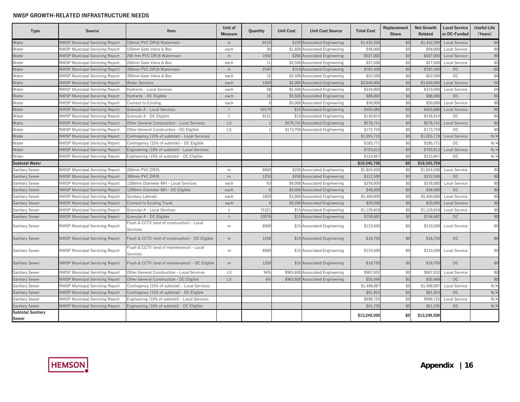| Type                              | <b>Source</b>                          | Item                                                   | Unit of<br><b>Measure</b> | Quantity | <b>Unit Cost</b> | <b>Unit Cost Source</b>          | <b>Total Cost</b> | Replacement<br>Share | <b>Net Growth</b><br>Related | <b>Local Service</b><br>or DC-Funded | <b>Useful Life</b><br>(Years) |
|-----------------------------------|----------------------------------------|--------------------------------------------------------|---------------------------|----------|------------------|----------------------------------|-------------------|----------------------|------------------------------|--------------------------------------|-------------------------------|
| Water                             | <b>NWSP Municipal Servicing Report</b> | 150mm PVC DR18 Watermain                               | m                         | 6510     |                  | \$220 Associated Engineering     | \$1,432,200       | \$0                  | \$1,432,200                  | <b>Local Service</b>                 | 80                            |
| Water                             | <b>NWSP Municipal Servicing Report</b> | 150mm Gate Valve & Box                                 | each                      | 30       |                  | \$1,600 Associated Engineering   | \$48,000          | \$0                  | \$48.00                      | Local Service                        | 80                            |
| Water                             | <b>NWSP Municipal Servicing Report</b> | 200 mm PVC DR18 Watermain                              | m                         | 1950     |                  | \$260 Associated Engineering     | \$507,000         | \$0                  | \$507,000                    | <b>Local Service</b>                 | 80                            |
| Water                             | <b>NWSP Municipal Servicing Report</b> | 200mm Gate Valve & Box                                 | each                      | 11       |                  | \$2,500 Associated Engineering   | \$27,50           | \$0                  | \$27,500                     | Local Service                        | 80                            |
| Water                             | <b>NWSP Municipal Servicing Report</b> | 300mm PVC DR18 Watermain                               | m                         | 2540     |                  | \$310 Associated Engineering     | \$787,40          | \$0                  | \$787,400                    | DC.                                  | 80                            |
| Water                             | <b>NWSP Municipal Servicing Report</b> | 300mm Gate Valve & Box                                 | each                      | 15       |                  | \$3,500 Associated Engineering   | \$52,500          | \$0                  | \$52,500                     | DC.                                  | 80                            |
| Water                             | <b>NWSP Municipal Servicing Report</b> | <b>Water Services</b>                                  | each                      | 1820     |                  | \$2,000 Associated Engineering   | \$3,640,00        | \$0                  | \$3,640,000                  | <b>Local Service</b>                 | 50                            |
| Water                             | <b>NWSP Municipal Servicing Report</b> | Hydrants - Local Services                              | each                      | 58       |                  | \$5,500 Associated Engineering   | \$319,00          | \$0                  | \$319.00                     | <b>Local Service</b>                 | 60                            |
| Water                             | <b>NWSP Municipal Servicing Report</b> | Hydrants - DC Eligible                                 | each                      | 16       |                  | \$5,500 Associated Engineering   | \$88,000          | \$0                  | \$88,000                     | <b>DC</b>                            | 60                            |
| Water                             | <b>NWSP Municipal Servicing Report</b> | Connect to Existing                                    | each                      |          | \$5,000          | <b>Associated Engineering</b>    | \$30,00           | \$0                  | \$30,000                     | Local Service                        | 80                            |
| Water                             | <b>NWSP Municipal Servicing Report</b> | Granular A - Local Services                            | $\ddagger$                | 30379    |                  | \$15 Associated Engineering      | \$455,686         | \$0                  | \$455,686                    | <b>Local Service</b>                 | 80                            |
| Water                             | <b>NWSP Municipal Servicing Report</b> | Granular A - DC Eligible                               | $\overline{1}$            | 9121     |                  | \$15 Associated Engineering      | \$136,81          | \$0                  | \$136,814                    | DC.                                  | 80                            |
| Water                             | <b>NWSP Municipal Servicing Report</b> | Other General Construction - Local Services            | LS                        |          |                  | \$578,741 Associated Engineering | \$578,741         | \$0                  | \$578,741                    | Local Service                        | 80                            |
| Water                             | <b>NWSP Municipal Servicing Report</b> | Other General Construction - DC Eligible               | <b>LS</b>                 |          |                  | \$173,759 Associated Engineering | \$173,759         | \$0                  | \$173,759                    | DC.                                  | 80                            |
| Water                             | <b>NWSP Municipal Servicing Report</b> | Contingency (15% of subtotal) - Local Services         |                           |          |                  |                                  | \$1,055,719       | \$C                  | \$1,055,719                  | <b>Local Service</b>                 | N/A                           |
| Water                             | <b>NWSP Municipal Servicing Report</b> | Contingency (15% of subtotal) - DC Eligible            |                           |          |                  |                                  | \$185,771         | \$0                  | \$185,771                    | DC                                   | N/A                           |
| Water                             | <b>NWSP Municipal Servicing Report</b> | Engineering (10% of subtotal) - Local Services         |                           |          |                  |                                  | \$703,81          | \$0                  | \$703,813                    | <b>Local Service</b>                 | N/A                           |
| Water                             | <b>NWSP Municipal Servicing Report</b> | Engineering (10% of subtotal) - DC Eligible            |                           |          |                  |                                  | \$123.847         | \$0                  | \$123,847                    | DC                                   | N/A                           |
| <b>Subtotal Water</b>             |                                        |                                                        |                           |          |                  |                                  | \$10.345.750      | \$0                  | \$10,345,750                 |                                      |                               |
| Sanitary Sewer                    | <b>NWSP Municipal Servicing Report</b> | 200mm PVC DR35                                         | m                         | 8900     |                  | \$205 Associated Engineering     | \$1,824,500       | \$0                  | \$1,824,500                  | Local Service                        | 80                            |
| <b>Sanitary Sewer</b>             | <b>NWSP Municipal Servicing Report</b> | 300mm PVC DR35                                         | m                         | 1250     |                  | \$250 Associated Engineering     | \$312,500         | \$0                  | \$312,500                    | DC                                   | 80                            |
| Sanitary Sewer                    | <b>NWSP Municipal Servicing Report</b> | 1200mm Diameter MH - Local Services                    | each                      | 63       |                  | \$6,000 Associated Engineering   | \$378,000         | \$0                  | \$378,000                    | Local Service                        | 80                            |
| Sanitary Sewer                    | <b>NWSP Municipal Servicing Report</b> | 1200mm Diameter MH - DC Eligible                       | each                      |          |                  | \$6,000 Associated Engineering   | \$48,00           | \$0                  | \$48,000                     | <b>DC</b>                            | 80                            |
| Sanitary Sewer                    | <b>NWSP Municipal Servicing Report</b> | Sanitary Laterals                                      | each                      | 1820     |                  | \$3,000 Associated Engineering   | \$5,460,000       | \$0                  | \$5,460,000                  | <b>Local Service</b>                 | 80                            |
| <b>Sanitary Sewer</b>             | <b>NWSP Municipal Servicing Report</b> | <b>Connect to Existing Trunk</b>                       | each                      |          |                  | \$5,000 Associated Engineering   | \$20,000          | \$0                  | \$20,000                     | <b>Local Service</b>                 | 80                            |
| Sanitary Sewer                    | <b>NWSP Municipal Servicing Report</b> | Granular A - Local Services                            | $\pm$                     | 7532     |                  | \$15 Associated Engineering      | \$1,129,818       | \$0                  | \$1,129,81                   | Local Service                        | 80                            |
| <b>Sanitary Sewer</b>             | <b>NWSP Municipal Servicing Report</b> | Granular A - DC Eligible                               | $\ddagger$                | 10579    |                  | \$15 Associated Engineering      | \$158,682         | \$0                  | \$158,682                    | DC.                                  | 80                            |
| Sanitary Sewer                    | <b>NWSP Municipal Servicing Report</b> | Flush & CCTV (end of construction) - Local<br>Services | m                         | 8900     |                  | \$15 Associated Engineering      | \$133,500         | \$0                  | \$133,500                    | Local Service                        | 80                            |
| Sanitary Sewer                    | <b>NWSP Municipal Servicing Report</b> | Flush & CCTV (end of construction) - DC Eligible       | m                         | 1250     |                  | \$15 Associated Engineering      | \$18,750          | \$0                  | \$18,750                     | DC                                   | 80                            |
| Sanitary Sewer                    | <b>NWSP Municipal Servicing Report</b> | Flush & CCTV (end of maintenance) - Local<br>Services  | m                         | 8900     |                  | \$15 Associated Engineering      | \$133,500         | \$0                  | \$133,500                    | Local Service                        | 80                            |
| <b>Sanitary Sewer</b>             | <b>NWSP Municipal Servicing Report</b> | Flush & CCTV (end of maintenance) - DC Eligible        | m                         | 1250     |                  | \$15 Associated Engineering      | \$18,750          | \$0                  | \$18,750                     | <b>DC</b>                            | 80                            |
| Sanitary Sewer                    | <b>NWSP Municipal Servicing Report</b> | Other General Construction - Local Services            | <b>LS</b>                 | 94%      |                  | \$963,600 Associated Engineering | \$907,932         | \$0                  | \$907,932                    | <b>Local Service</b>                 | 80                            |
| Sanitary Sewer                    | <b>NWSP Municipal Servicing Report</b> | Other General Construction - DC Eligible               | <b>LS</b>                 | 6%       |                  | \$963,600 Associated Engineering | \$55,668          | \$0                  | \$55,668                     | <b>DC</b>                            | 80                            |
| Sanitary Sewer                    | <b>NWSP Municipal Servicing Report</b> | Contingency (15% of subtotal) - Local Services         |                           |          |                  |                                  | \$1,498,08        | \$0                  | \$1,498,087                  | Local Service                        | N/A                           |
| Sanitary Sewer                    | <b>NWSP Municipal Servicing Report</b> | Contingency (15% of subtotal) - DC Eligible            |                           |          |                  |                                  | \$91,853          | \$0                  | \$91,853                     | DC                                   | N/A                           |
| Sanitary Sewer                    | <b>NWSP Municipal Servicing Report</b> | Engineering (10% of subtotal) - Local Services         |                           |          |                  |                                  | \$998,725         | \$0                  | \$998,725                    | Local Service                        | N/A                           |
| <b>Sanitary Sewer</b>             | <b>NWSP Municipal Servicing Report</b> | Engineering (10% of subtotal) - DC Eligible            |                           |          |                  |                                  | \$61,235          | \$0                  | \$61,235                     | DC.                                  | N/A                           |
| <b>Subtotal Sanitary</b><br>Sewer |                                        |                                                        |                           |          |                  |                                  | \$13,249,500      | \$0                  | \$13,249,500                 |                                      |                               |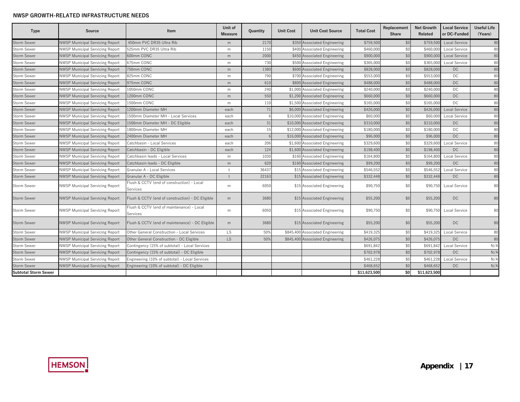| Type                        | <b>Source</b>                          | Item                                                   | Unit of<br><b>Measure</b> | Quantity | <b>Unit Cost</b> | <b>Unit Cost Source</b>          | <b>Total Cost</b> | Replacement<br><b>Share</b> | <b>Net Growth</b><br><b>Related</b> | <b>Local Service</b><br>or DC-Funded | <b>Useful Life</b><br>(Years) |
|-----------------------------|----------------------------------------|--------------------------------------------------------|---------------------------|----------|------------------|----------------------------------|-------------------|-----------------------------|-------------------------------------|--------------------------------------|-------------------------------|
| Storm Sewer                 | <b>NWSP Municipal Servicing Report</b> | 450mm PVC DR35 Ultra Rib                               | m                         | 2170     |                  | \$350 Associated Engineering     | \$759,500         | \$0                         | \$759,500                           | <b>Local Service</b>                 | 80                            |
| Storm Sewer                 | <b>NWSP Municipal Servicing Report</b> | 525mm PVC DR35 Ultra Rib                               | m                         | 1150     |                  | \$400 Associated Engineering     | \$460,000         | \$0                         | \$460.00                            | Local Service                        | 80                            |
| Storm Sewer                 | <b>NWSP Municipal Servicing Report</b> | 600mm CONC                                             | m                         | 2000     |                  | \$450 Associated Engineering     | \$900,000         | \$0                         | \$900,00                            | <b>Local Service</b>                 | 80                            |
| Storm Sewer                 | <b>NWSP Municipal Servicing Report</b> | 675mm CONC                                             | m                         | 730      |                  | \$500 Associated Engineering     | \$365,00          | \$0                         | \$365,00                            | Local Service                        | 80                            |
| <b>Storm Sewer</b>          | <b>NWSP Municipal Servicing Report</b> | 750mm CONC                                             | m                         | 1380     |                  | \$600 Associated Engineering     | \$828,000         | \$0                         | \$828,000                           | DC.                                  | 80                            |
| Storm Sewer                 | <b>NWSP Municipal Servicing Report</b> | 825mm CONC                                             | m                         | 790      |                  | \$700 Associated Engineering     | \$553,00          | \$0                         | \$553,000                           | DC                                   | 80                            |
| <b>Storm Sewer</b>          | <b>NWSP Municipal Servicing Report</b> | 975mm CONC                                             | m                         | 610      |                  | \$800 Associated Engineering     | \$488,000         | \$0                         | \$488,000                           | DC.                                  | 80                            |
| Storm Sewer                 | <b>NWSP Municipal Servicing Report</b> | 1050mm CONC                                            | m                         | 240      |                  | \$1,000 Associated Engineering   | \$240,000         | \$0                         | \$240,000                           | DC                                   | 80                            |
| <b>Storm Sewer</b>          | <b>NWSP Municipal Servicing Report</b> | 1200mm CONC                                            | m                         | 550      |                  | \$1,200 Associated Engineering   | \$660,000         | \$0                         | \$660,000                           | DC                                   | 80                            |
| Storm Sewer                 | <b>NWSP Municipal Servicing Report</b> | 1500mm CONC                                            | m                         | 110      |                  | \$1,500 Associated Engineering   | \$165,000         | \$0                         | \$165,000                           | <b>DC</b>                            | 80                            |
| <b>Storm Sewer</b>          | <b>NWSP Municipal Servicing Report</b> | 1200mm Diameter MH                                     | each                      | 71       |                  | \$6,000 Associated Engineering   | \$426,000         | \$0                         | \$426,000                           | <b>Local Service</b>                 | 80                            |
| Storm Sewer                 | <b>NWSP Municipal Servicing Report</b> | 1500mm Diameter MH - Local Services                    | each                      |          |                  | \$10,000 Associated Engineering  | \$60,000          | \$0                         | \$60,000                            | Local Service                        | 80                            |
| <b>Storm Sewer</b>          | <b>NWSP Municipal Servicing Report</b> | 1500mm Diameter MH - DC Eligible                       | each                      | 31       |                  | \$10,000 Associated Engineering  | \$310,000         | \$0                         | \$310,000                           | DC.                                  | 80                            |
| <b>Storm Sewer</b>          | <b>NWSP Municipal Servicing Report</b> | 1800mm Diameter MH                                     | each                      | 15       |                  | \$12,000 Associated Engineering  | \$180,000         | \$0                         | \$180,000                           | DC                                   | 80                            |
| <b>Storm Sewer</b>          | <b>NWSP Municipal Servicing Report</b> | 2400mm Diameter MH                                     | each                      |          |                  | \$16,000 Associated Engineering  | \$96,000          | \$0                         | \$96,000                            | DC                                   | 80                            |
| Storm Sewer                 | <b>NWSP Municipal Servicing Report</b> | Catchbasin - Local Services                            | each                      | 206      |                  | \$1,600 Associated Engineering   | \$329,600         | \$0                         | \$329,600                           | Local Service                        | 80                            |
| Storm Sewer                 | <b>NWSP Municipal Servicing Report</b> | Catchbasin - DC Eligible                               | each                      | 124      |                  | \$1,600 Associated Engineering   | \$198,400         | \$0                         | \$198,400                           | <b>DC</b>                            | 80                            |
| Storm Sewer                 | <b>NWSP Municipal Servicing Report</b> | Catchbasin leads - Local Services                      | m                         | 1030     |                  | \$160 Associated Engineering     | \$164,800         | \$0                         | \$164,800                           | Local Service                        | 80                            |
| <b>Storm Sewer</b>          | <b>NWSP Municipal Servicing Report</b> | Catchbasin leads - DC Eligible                         | m                         | 620      |                  | \$160 Associated Engineering     | \$99,200          | \$0                         | \$99,200                            | DC.                                  | 80                            |
| Storm Sewer                 | <b>NWSP Municipal Servicing Report</b> | Granular A - Local Services                            | $+$                       | 36437    |                  | \$15 Associated Engineering      | \$546,552         | \$0                         | \$546.552                           | Local Service                        | 80                            |
| Storm Sewer                 | <b>NWSP Municipal Servicing Report</b> | Granular A - DC Eligible                               |                           | 22163    |                  | \$15 Associated Engineering      | \$332,448         | \$0                         | \$332,448                           | <b>DC</b>                            | 80                            |
| <b>Storm Sewer</b>          | <b>NWSP Municipal Servicing Report</b> | Flush & CCTV (end of construction) - Local<br>Services | m                         | 6050     |                  | \$15 Associated Engineering      | \$90,750          | \$0                         | \$90.750                            | Local Service                        | 80                            |
| <b>Storm Sewer</b>          | <b>NWSP Municipal Servicing Report</b> | Flush & CCTV (end of construction) - DC Eligible       | m                         | 3680     |                  | \$15 Associated Engineering      | \$55,200          | \$0                         | \$55,200                            | DC                                   | 80                            |
| Storm Sewer                 | <b>NWSP Municipal Servicing Report</b> | Flush & CCTV (end of maintenance) - Local<br>Services  | m                         | 6050     |                  | \$15 Associated Engineering      | \$90,750          | \$0                         | \$90,750                            | <b>Local Service</b>                 | 80                            |
| <b>Storm Sewer</b>          | <b>NWSP Municipal Servicing Report</b> | Flush & CCTV (end of maintenance) - DC Eligible        | m                         | 3680     |                  | \$15 Associated Engineering      | \$55,200          | \$0                         | \$55,200                            | DC                                   | 80                            |
| Storm Sewer                 | <b>NWSP Municipal Servicing Report</b> | Other General Construction - Local Services            | <b>LS</b>                 | 50%      |                  | \$845,400 Associated Engineering | \$419,325         | \$0                         | \$419,325                           | Local Service                        | 80                            |
| <b>Storm Sewer</b>          | <b>NWSP Municipal Servicing Report</b> | Other General Construction - DC Eligible               | LS.                       | 50%      |                  | \$845,400 Associated Engineering | \$426,075         | \$0                         | \$426,075                           | <b>DC</b>                            | 80                            |
| Storm Sewer                 | <b>NWSP Municipal Servicing Report</b> | Contingency (15% of subtotal) - Local Services         |                           |          |                  |                                  | \$691,842         | \$0                         | \$691,84                            | Local Service                        | N/A                           |
| Storm Sewer                 | <b>NWSP Municipal Servicing Report</b> | Contingency (15% of subtotal) - DC Eligible            |                           |          |                  |                                  | \$702,978         | \$0                         | \$702,978                           | <b>DC</b>                            | N/A                           |
| Storm Sewer                 | <b>NWSP Municipal Servicing Report</b> | Engineering (10% of subtotal) - Local Services         |                           |          |                  |                                  | \$461,228         | \$0                         | \$461,228                           | Local Service                        | N/A                           |
| Storm Sewer                 | <b>NWSP Municipal Servicing Report</b> | Engineering (10% of subtotal) - DC Eligible            |                           |          |                  |                                  | \$468,652         | \$0                         | \$468,652                           | DC                                   | N/A                           |
| <b>Subtotal Storm Sewer</b> |                                        |                                                        |                           |          |                  |                                  | \$11,623,500      | \$0                         | \$11,623,500                        |                                      |                               |